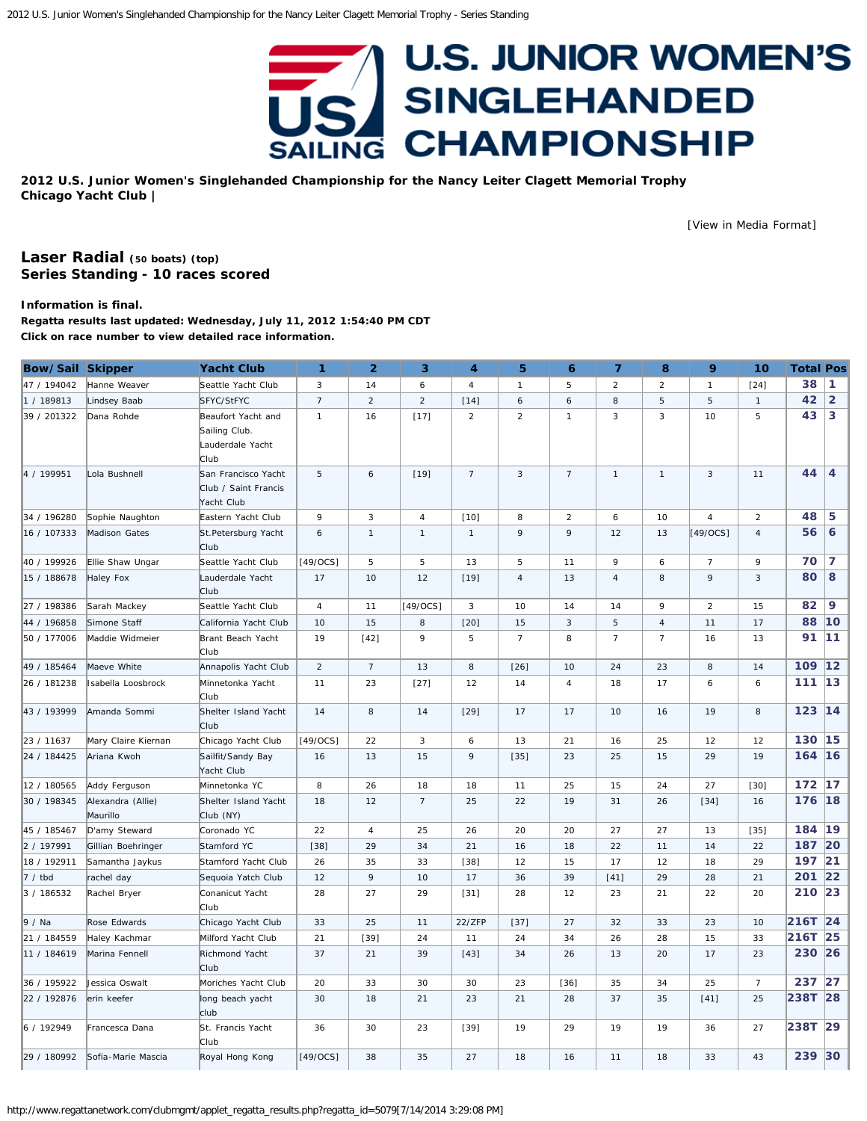# **U.S. JUNIOR WOMEN'S** SINGLEHANDED **CHAMPIONSHIP** SAILING

<span id="page-0-0"></span>**2012 U.S. Junior Women's Singlehanded Championship for the Nancy Leiter Clagett Memorial Trophy Chicago Yacht Club |**

[\[View in Media Format](http://www.regattanetwork.com/clubmgmt/applet_regatta_results.php?regatta_id=5079&media_format=1)]

# **[Laser Radial](http://www.regattanetwork.com/clubmgmt/applet_regatta_results.php?regatta_id=5079&limit_fleet=Laser+Radial) (50 boats) [\(top\)](#page-0-0) Series Standing - 10 races scored**

#### **Information is final.**

**Regatta results last updated: Wednesday, July 11, 2012 1:54:40 PM CDT Click on race number to view detailed race information.**

| <b>Bow/Sail Skipper</b> |                               | <b>Yacht Club</b>                                               | 1              | $\overline{2}$      | 3              | 4              | 5                | $\ddot{\mathbf{6}}$ | $\overline{7}$ | 8              | 9              | 10             | <b>Total Pos</b> |                |
|-------------------------|-------------------------------|-----------------------------------------------------------------|----------------|---------------------|----------------|----------------|------------------|---------------------|----------------|----------------|----------------|----------------|------------------|----------------|
| 47 / 194042             | Hanne Weaver                  | Seattle Yacht Club                                              | 3              | 14                  | 6              | $\overline{4}$ | $\mathbf{1}$     | 5                   | $\overline{2}$ | $\overline{2}$ | $\mathbf{1}$   | $[24]$         | 38               | 1              |
| 1 / 189813              | Lindsey Baab                  | SFYC/StFYC                                                      | $\overline{7}$ | 2                   | $\overline{2}$ | $[14]$         | $\boldsymbol{6}$ | 6                   | 8              | 5              | 5              | $\mathbf{1}$   | 42               | $\overline{2}$ |
| 39 / 201322             | Dana Rohde                    | Beaufort Yacht and<br>Sailing Club.<br>Lauderdale Yacht<br>Club | $\mathbf{1}$   | 16                  | [17]           | $\overline{2}$ | $\overline{2}$   | $\mathbf{1}$        | 3              | 3              | 10             | 5              | 43               | 3              |
| 4 / 199951              | Lola Bushnell                 | San Francisco Yacht<br>Club / Saint Francis<br>Yacht Club       | 5              | $\ddot{\mathbf{6}}$ | $[19]$         | $\overline{7}$ | $\mathbf{3}$     | $\overline{7}$      | $\mathbf{1}$   | $\mathbf{1}$   | 3              | 11             | 44               | $\overline{4}$ |
| 34 / 196280             | Sophie Naughton               | Eastern Yacht Club                                              | 9              | $\sqrt{3}$          | 4              | $[10]$         | 8                | $\overline{c}$      | 6              | 10             | $\sqrt{4}$     | $\overline{2}$ | 48               | 5              |
| 16 / 107333             | Madison Gates                 | St.Petersburg Yacht<br>Club                                     | 6              | $\mathbf{1}$        | $\mathbf{1}$   | $\mathbf{1}$   | 9                | 9                   | 12             | 13             | $[49/0CS]$     | 4              | 56               | 6              |
| 40 / 199926             | Ellie Shaw Ungar              | Seattle Yacht Club                                              | $[49/0CS]$     | 5                   | 5              | 13             | 5                | 11                  | 9              | 6              | $\overline{7}$ | 9              | 70               | $\overline{7}$ |
| 15 / 188678             | Haley Fox                     | Lauderdale Yacht<br>Club                                        | 17             | 10                  | 12             | $[19]$         | $\overline{4}$   | 13                  | $\overline{4}$ | 8              | 9              | $\mathbf{3}$   | 80               | 8              |
| 27 / 198386             | Sarah Mackey                  | Seattle Yacht Club                                              | $\overline{4}$ | 11                  | $[49/0CS]$     | 3              | 10               | 14                  | 14             | 9              | $\overline{2}$ | 15             | 82               | 9              |
| 44 / 196858             | Simone Staff                  | California Yacht Club                                           | 10             | 15                  | 8              | $[20]$         | 15               | 3                   | 5              | $\overline{4}$ | 11             | 17             | 88               | 10             |
| 50 / 177006             | Maddie Widmeier               | Brant Beach Yacht<br>Club                                       | 19             | $[42]$              | 9              | 5              | $\overline{7}$   | 8                   | $\overline{7}$ | $\overline{7}$ | 16             | 13             | 91               | 11             |
| 49 / 185464             | Maeve White                   | Annapolis Yacht Club                                            | $\overline{2}$ | $\overline{7}$      | 13             | 8              | $[26]$           | 10                  | 24             | 23             | 8              | 14             | 109              | 12             |
| 26 / 181238             | Isabella Loosbrock            | Minnetonka Yacht<br>Club                                        | 11             | 23                  | $[27]$         | 12             | 14               | $\overline{4}$      | 18             | 17             | 6              | 6              | 111              | 13             |
| 43 / 193999             | Amanda Sommi                  | Shelter Island Yacht<br>Club                                    | 14             | 8                   | 14             | $[29]$         | 17               | 17                  | 10             | 16             | 19             | 8              | 123              | 14             |
| 23 / 11637              | Mary Claire Kiernan           | Chicago Yacht Club                                              | $[49/0CS]$     | 22                  | 3              | 6              | 13               | 21                  | 16             | 25             | 12             | 12             | 130              | 15             |
| 24 / 184425             | Ariana Kwoh                   | Sailfit/Sandy Bay<br>Yacht Club                                 | 16             | 13                  | 15             | $\overline{9}$ | $[35]$           | 23                  | 25             | 15             | 29             | 19             | 164              | 16             |
| 12 / 180565             | Addy Ferguson                 | Minnetonka YC                                                   | 8              | 26                  | 18             | 18             | 11               | 25                  | 15             | 24             | 27             | $[30]$         | 172              | 17             |
| 30 / 198345             | Alexandra (Allie)<br>Maurillo | Shelter Island Yacht<br>Club (NY)                               | 18             | 12                  | $\overline{7}$ | 25             | 22               | 19                  | 31             | 26             | $[34]$         | 16             | 176              | 18             |
| 45 / 185467             | D'amy Steward                 | Coronado YC                                                     | 22             | $\overline{4}$      | 25             | 26             | 20               | 20                  | 27             | 27             | 13             | $[35]$         | 184              | 19             |
| 2 / 197991              | Gillian Boehringer            | Stamford YC                                                     | $[38]$         | 29                  | 34             | 21             | 16               | 18                  | 22             | 11             | 14             | 22             | 187              | 20             |
| 18 / 192911             | Samantha Jaykus               | Stamford Yacht Club                                             | 26             | 35                  | 33             | $[38]$         | 12               | 15                  | 17             | 12             | 18             | 29             | 197 21           |                |
| 7 / tbd                 | rachel day                    | Sequoia Yatch Club                                              | 12             | 9                   | 10             | 17             | 36               | 39                  | $[41]$         | 29             | 28             | 21             | 201              | 22             |
| 3 / 186532              | Rachel Bryer                  | Conanicut Yacht<br>Club                                         | 28             | 27                  | 29             | $[31]$         | 28               | 12                  | 23             | 21             | 22             | 20             | 210 23           |                |
| ∥9 / Na                 | Rose Edwards                  | Chicago Yacht Club                                              | 33             | 25                  | 11             | 22/ZFP         | $[37]$           | 27                  | 32             | 33             | 23             | 10             | 216T 24          |                |
| 21 / 184559             | Haley Kachmar                 | Milford Yacht Club                                              | 21             | $[39]$              | 24             | 11             | 24               | 34                  | 26             | 28             | 15             | 33             | 216T             | 25             |
| 11 / 184619             | Marina Fennell                | Richmond Yacht<br>Club                                          | 37             | 21                  | 39             | $[43]$         | 34               | 26                  | 13             | 20             | 17             | 23             | 230 26           |                |
| 36 / 195922             | Jessica Oswalt                | Moriches Yacht Club                                             | 20             | 33                  | 30             | 30             | 23               | $[36]$              | 35             | 34             | 25             | $\overline{7}$ | 237              | 27             |
| 22 / 192876             | erin keefer                   | long beach yacht<br>club                                        | 30             | 18                  | 21             | 23             | 21               | 28                  | 37             | 35             | $[41]$         | 25             | 238T 28          |                |
| 6 / 192949              | Francesca Dana                | St. Francis Yacht<br>Club                                       | 36             | 30                  | 23             | $[39]$         | 19               | 29                  | 19             | 19             | 36             | 27             | 238T 29          |                |
| 29 / 180992             | Sofia-Marie Mascia            | Royal Hong Kong                                                 | $[49/0CS]$     | 38                  | 35             | 27             | 18               | 16                  | 11             | 18             | 33             | 43             | 239              | 30             |